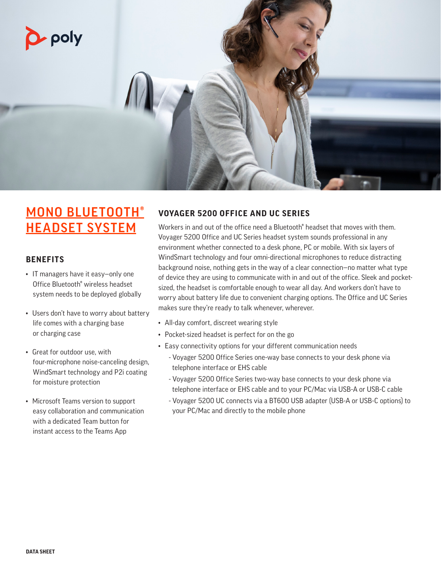

# MONO BLUETOOTH® HEADSET SYSTEM

# **BENEFITS**

- IT managers have it easy—only one Office Bluetooth® wireless headset system needs to be deployed globally
- Users don't have to worry about battery life comes with a charging base or charging case
- Great for outdoor use, with four-microphone noise-canceling design, WindSmart technology and P2i coating for moisture protection
- Microsoft Teams version to support easy collaboration and communication with a dedicated Team button for instant access to the Teams App

# **VOYAGER 5200 OFFICE AND UC SERIES**

Workers in and out of the office need a Bluetooth<sup>®</sup> headset that moves with them. Voyager 5200 Office and UC Series headset system sounds professional in any environment whether connected to a desk phone, PC or mobile. With six layers of WindSmart technology and four omni-directional microphones to reduce distracting background noise, nothing gets in the way of a clear connection—no matter what type of device they are using to communicate with in and out of the office. Sleek and pocketsized, the headset is comfortable enough to wear all day. And workers don't have to worry about battery life due to convenient charging options. The Office and UC Series makes sure they're ready to talk whenever, wherever.

- All-day comfort, discreet wearing style
- Pocket-sized headset is perfect for on the go
- Easy connectivity options for your different communication needs
	- Voyager 5200 Office Series one-way base connects to your desk phone via telephone interface or EHS cable
	- Voyager 5200 Office Series two-way base connects to your desk phone via telephone interface or EHS cable and to your PC/Mac via USB-A or USB-C cable
	- Voyager 5200 UC connects via a BT600 USB adapter (USB-A or USB-C options) to your PC/Mac and directly to the mobile phone